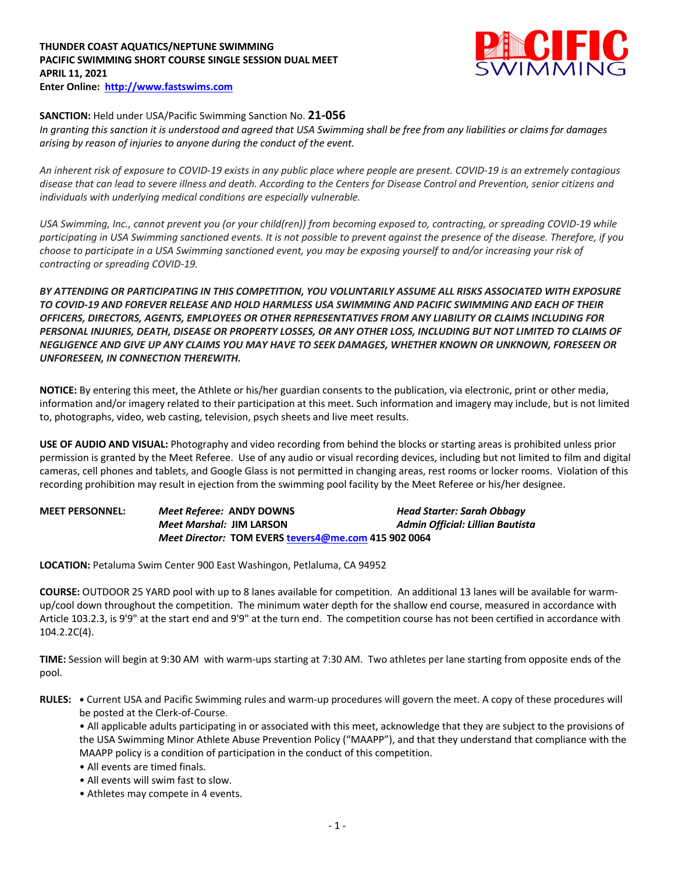## **THUNDER COAST AQUATICS/NEPTUNE SWIMMING PACIFIC SWIMMING SHORT COURSE SINGLE SESSION DUAL MEET APRIL 11, 2021 Enter Online: http://www.fastswims.com**



## **SANCTION:** Held under USA/Pacific Swimming Sanction No. **21-056**

*In granting this sanction it is understood and agreed that USA Swimming shall be free from any liabilities or claims for damages arising by reason of injuries to anyone during the conduct of the event.* 

*An inherent risk of exposure to COVID-19 exists in any public place where people are present. COVID-19 is an extremely contagious disease that can lead to severe illness and death. According to the Centers for Disease Control and Prevention, senior citizens and individuals with underlying medical conditions are especially vulnerable.*

*USA Swimming, Inc., cannot prevent you (or your child(ren)) from becoming exposed to, contracting, or spreading COVID-19 while participating in USA Swimming sanctioned events. It is not possible to prevent against the presence of the disease. Therefore, if you choose to participate in a USA Swimming sanctioned event, you may be exposing yourself to and/or increasing your risk of contracting or spreading COVID-19.*

*BY ATTENDING OR PARTICIPATING IN THIS COMPETITION, YOU VOLUNTARILY ASSUME ALL RISKS ASSOCIATED WITH EXPOSURE TO COVID-19 AND FOREVER RELEASE AND HOLD HARMLESS USA SWIMMING AND PACIFIC SWIMMING AND EACH OF THEIR OFFICERS, DIRECTORS, AGENTS, EMPLOYEES OR OTHER REPRESENTATIVES FROM ANY LIABILITY OR CLAIMS INCLUDING FOR PERSONAL INJURIES, DEATH, DISEASE OR PROPERTY LOSSES, OR ANY OTHER LOSS, INCLUDING BUT NOT LIMITED TO CLAIMS OF NEGLIGENCE AND GIVE UP ANY CLAIMS YOU MAY HAVE TO SEEK DAMAGES, WHETHER KNOWN OR UNKNOWN, FORESEEN OR UNFORESEEN, IN CONNECTION THEREWITH.*

**NOTICE:** By entering this meet, the Athlete or his/her guardian consents to the publication, via electronic, print or other media, information and/or imagery related to their participation at this meet. Such information and imagery may include, but is not limited to, photographs, video, web casting, television, psych sheets and live meet results.

**USE OF AUDIO AND VISUAL:** Photography and video recording from behind the blocks or starting areas is prohibited unless prior permission is granted by the Meet Referee. Use of any audio or visual recording devices, including but not limited to film and digital cameras, cell phones and tablets, and Google Glass is not permitted in changing areas, rest rooms or locker rooms. Violation of this recording prohibition may result in ejection from the swimming pool facility by the Meet Referee or his/her designee.

**MEET PERSONNEL:** *Meet Referee:* **ANDY DOWNS** *Head Starter: Sarah Obbagy Meet Marshal:* **JIM LARSON** *Admin Official: Lillian Bautista Meet Director:* **TOM EVERS tevers4@me.com 415 902 0064**

**LOCATION:** Petaluma Swim Center 900 East Washingon, Petlaluma, CA 94952

**COURSE:** OUTDOOR 25 YARD pool with up to 8 lanes available for competition. An additional 13 lanes will be available for warmup/cool down throughout the competition. The minimum water depth for the shallow end course, measured in accordance with Article 103.2.3, is 9'9" at the start end and 9'9" at the turn end. The competition course has not been certified in accordance with 104.2.2C(4).

**TIME:** Session will begin at 9:30 AM with warm-ups starting at 7:30 AM. Two athletes per lane starting from opposite ends of the pool.

**RULES: •** Current USA and Pacific Swimming rules and warm-up procedures will govern the meet. A copy of these procedures will be posted at the Clerk-of-Course.

• All applicable adults participating in or associated with this meet, acknowledge that they are subject to the provisions of the USA Swimming Minor Athlete Abuse Prevention Policy ("MAAPP"), and that they understand that compliance with the MAAPP policy is a condition of participation in the conduct of this competition.

- All events are timed finals.
- All events will swim fast to slow.
- Athletes may compete in 4 events.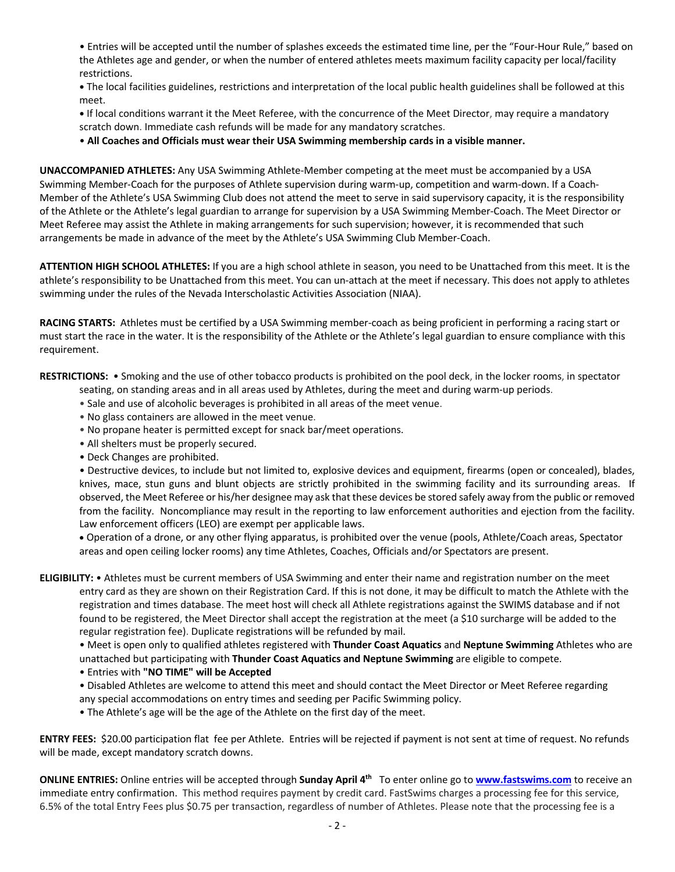• Entries will be accepted until the number of splashes exceeds the estimated time line, per the "Four-Hour Rule," based on the Athletes age and gender, or when the number of entered athletes meets maximum facility capacity per local/facility restrictions.

**•** The local facilities guidelines, restrictions and interpretation of the local public health guidelines shall be followed at this meet.

**•** If local conditions warrant it the Meet Referee, with the concurrence of the Meet Director, may require a mandatory scratch down. Immediate cash refunds will be made for any mandatory scratches.

• **All Coaches and Officials must wear their USA Swimming membership cards in a visible manner.** 

**UNACCOMPANIED ATHLETES:** Any USA Swimming Athlete-Member competing at the meet must be accompanied by a USA Swimming Member-Coach for the purposes of Athlete supervision during warm-up, competition and warm-down. If a Coach-Member of the Athlete's USA Swimming Club does not attend the meet to serve in said supervisory capacity, it is the responsibility of the Athlete or the Athlete's legal guardian to arrange for supervision by a USA Swimming Member-Coach. The Meet Director or Meet Referee may assist the Athlete in making arrangements for such supervision; however, it is recommended that such arrangements be made in advance of the meet by the Athlete's USA Swimming Club Member-Coach.

**ATTENTION HIGH SCHOOL ATHLETES:** If you are a high school athlete in season, you need to be Unattached from this meet. It is the athlete's responsibility to be Unattached from this meet. You can un-attach at the meet if necessary. This does not apply to athletes swimming under the rules of the Nevada Interscholastic Activities Association (NIAA).

**RACING STARTS:** Athletes must be certified by a USA Swimming member-coach as being proficient in performing a racing start or must start the race in the water. It is the responsibility of the Athlete or the Athlete's legal guardian to ensure compliance with this requirement.

**RESTRICTIONS:** • Smoking and the use of other tobacco products is prohibited on the pool deck, in the locker rooms, in spectator

- seating, on standing areas and in all areas used by Athletes, during the meet and during warm-up periods.
- Sale and use of alcoholic beverages is prohibited in all areas of the meet venue.
- No glass containers are allowed in the meet venue.
- No propane heater is permitted except for snack bar/meet operations.
- All shelters must be properly secured.
- Deck Changes are prohibited.

• Destructive devices, to include but not limited to, explosive devices and equipment, firearms (open or concealed), blades, knives, mace, stun guns and blunt objects are strictly prohibited in the swimming facility and its surrounding areas. If observed, the Meet Referee or his/her designee may ask that these devices be stored safely away from the public or removed from the facility. Noncompliance may result in the reporting to law enforcement authorities and ejection from the facility. Law enforcement officers (LEO) are exempt per applicable laws.

• Operation of a drone, or any other flying apparatus, is prohibited over the venue (pools, Athlete/Coach areas, Spectator areas and open ceiling locker rooms) any time Athletes, Coaches, Officials and/or Spectators are present.

**ELIGIBILITY:** • Athletes must be current members of USA Swimming and enter their name and registration number on the meet entry card as they are shown on their Registration Card. If this is not done, it may be difficult to match the Athlete with the registration and times database. The meet host will check all Athlete registrations against the SWIMS database and if not found to be registered, the Meet Director shall accept the registration at the meet (a \$10 surcharge will be added to the regular registration fee). Duplicate registrations will be refunded by mail.

• Meet is open only to qualified athletes registered with **Thunder Coast Aquatics** and **Neptune Swimming** Athletes who are unattached but participating with **Thunder Coast Aquatics and Neptune Swimming** are eligible to compete.

• Entries with **"NO TIME" will be Accepted**

• Disabled Athletes are welcome to attend this meet and should contact the Meet Director or Meet Referee regarding any special accommodations on entry times and seeding per Pacific Swimming policy.

• The Athlete's age will be the age of the Athlete on the first day of the meet.

**ENTRY FEES:** \$20.00 participation flat fee per Athlete. Entries will be rejected if payment is not sent at time of request. No refunds will be made, except mandatory scratch downs.

**ONLINE ENTRIES:** Online entries will be accepted through **Sunday April 4th** To enter online go to **www.fastswims.com** to receive an immediate entry confirmation. This method requires payment by credit card. FastSwims charges a processing fee for this service, 6.5% of the total Entry Fees plus \$0.75 per transaction, regardless of number of Athletes. Please note that the processing fee is a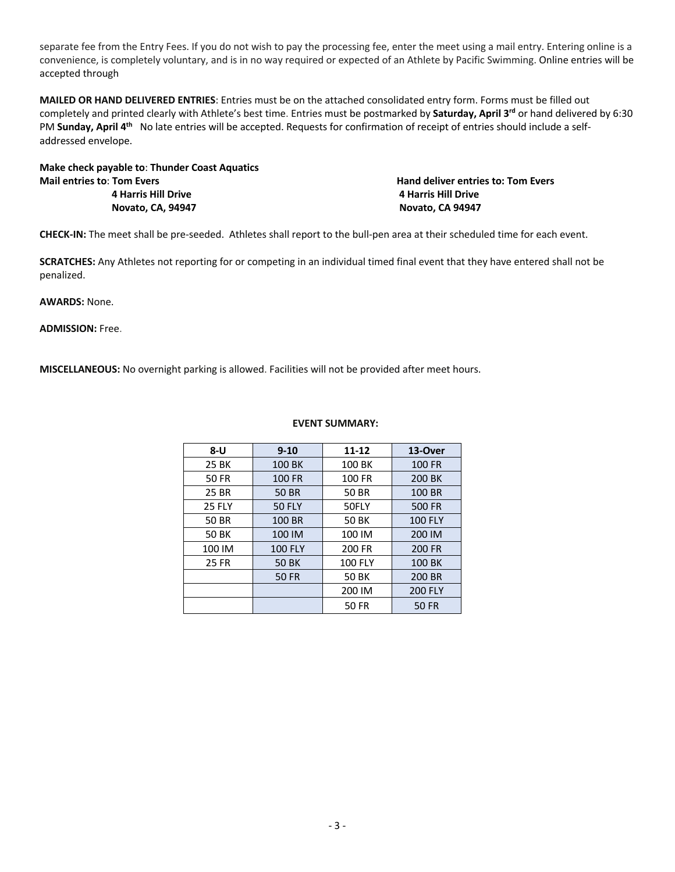separate fee from the Entry Fees. If you do not wish to pay the processing fee, enter the meet using a mail entry. Entering online is a convenience, is completely voluntary, and is in no way required or expected of an Athlete by Pacific Swimming. Online entries will be accepted through

**MAILED OR HAND DELIVERED ENTRIES**: Entries must be on the attached consolidated entry form. Forms must be filled out completely and printed clearly with Athlete's best time. Entries must be postmarked by **Saturday, April 3rd** or hand delivered by 6:30 PM **Sunday, April 4<sup>th</sup>** No late entries will be accepted. Requests for confirmation of receipt of entries should include a selfaddressed envelope.

**Make check payable to**: **Thunder Coast Aquatics Mail entries to: Tom Evers Hand deliver entries to: Tom Evers Hand deliver entries to: Tom Evers 4 Harris Hill Drive 4 Harris Hill Drive Novato, CA, 94947 Novato, CA 94947**

**CHECK-IN:** The meet shall be pre-seeded. Athletes shall report to the bull-pen area at their scheduled time for each event.

**SCRATCHES:** Any Athletes not reporting for or competing in an individual timed final event that they have entered shall not be penalized.

**AWARDS:** None.

**ADMISSION:** Free.

**MISCELLANEOUS:** No overnight parking is allowed. Facilities will not be provided after meet hours.

| $8 - U$       | $9 - 10$       | $11 - 12$      | 13-Over        |  |  |
|---------------|----------------|----------------|----------------|--|--|
| 25 BK         | 100 BK         | 100 BK         | 100 FR         |  |  |
| 50 FR         | 100 FR         | 100 FR         | 200 BK         |  |  |
| 25 BR         | 50 BR          | 50 BR          | 100 BR         |  |  |
| <b>25 FLY</b> | <b>50 FLY</b>  | 50FLY          | 500 FR         |  |  |
| 50 BR         | 100 BR         | 50 BK          | <b>100 FLY</b> |  |  |
| 50 BK         | 100 IM         | 100 IM         | 200 IM         |  |  |
| 100 IM        | <b>100 FLY</b> | 200 FR         | 200 FR         |  |  |
| <b>25 FR</b>  | <b>50 BK</b>   | <b>100 FLY</b> | 100 BK         |  |  |
|               | <b>50 FR</b>   | <b>50 BK</b>   | 200 BR         |  |  |
|               |                | 200 IM         | <b>200 FLY</b> |  |  |
|               |                | 50 FR          | 50 FR          |  |  |

## **EVENT SUMMARY:**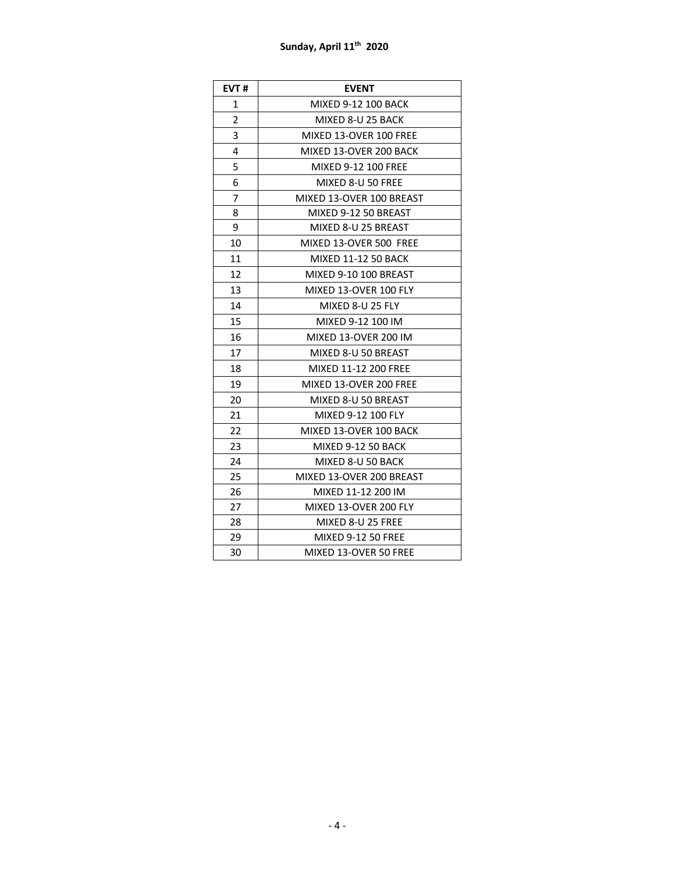## **Sunday, April 11th 2020**

| EVT#           | <b>EVENT</b>                |
|----------------|-----------------------------|
| 1              | MIXED 9-12 100 BACK         |
| $\overline{2}$ | MIXED 8-U 25 BACK           |
| 3              | MIXED 13-OVER 100 FREE      |
| 4              | MIXED 13-OVER 200 BACK      |
| 5              | MIXED 9-12 100 FREE         |
| 6              | MIXED 8-U 50 FREE           |
| 7              | MIXED 13-OVER 100 BREAST    |
| 8              | MIXED 9-12 50 BREAST        |
| 9              | MIXED 8-U 25 BREAST         |
| 10             | MIXED 13-OVER 500 FREE      |
| 11             | <b>MIXED 11-12 50 BACK</b>  |
| 12             | MIXED 9-10 100 BREAST       |
| 13             | MIXED 13-OVER 100 FLY       |
| 14             | MIXED 8-U 25 FLY            |
| 15             | MIXED 9-12 100 IM           |
| 16             | <b>MIXED 13-OVER 200 IM</b> |
| 17             | MIXED 8-U 50 BREAST         |
| 18             | MIXED 11-12 200 FREE        |
| 19             | MIXED 13-OVER 200 FREE      |
| 20             | MIXED 8-U 50 BREAST         |
| 21             | MIXED 9-12 100 FLY          |
| 22             | MIXED 13-OVER 100 BACK      |
| 23             | <b>MIXED 9-12 50 BACK</b>   |
| 24             | MIXED 8-U 50 BACK           |
| 25             | MIXED 13-OVER 200 BREAST    |
| 26             | MIXED 11-12 200 IM          |
| 27             | MIXED 13-OVER 200 FLY       |
| 28             | MIXED 8-U 25 FREE           |
| 29             | MIXED 9-12 50 FREE          |
| 30             | MIXED 13-OVER 50 FREE       |